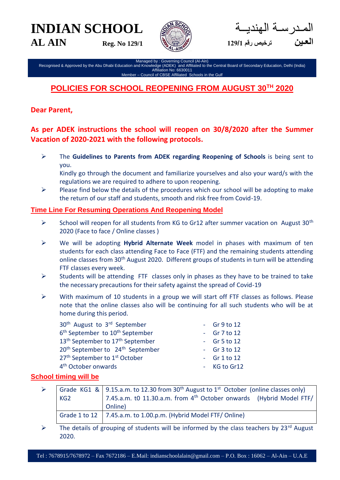**INDIAN SCHOOL AL AIN Reg. No 129/1**



در سـة الـهنديــة **العـين ترخيص رقم 121/<sup>1</sup>**

Managed by : Governing Council (Al-Ain) Recognised & Approved by the Abu Dhabi Education and Knowledge (ADEK) and Affiliated to the Central Board of Secondary Education, Delhi (India) Affiliation No: 6630011 Member – Council of CBSE Affiliated Schools in the Gulf

# **POLICIES FOR SCHOOL REOPENING FROM AUGUST 30TH 2020**

## **Dear Parent,**

# **As per ADEK instructions the school will reopen on 30/8/2020 after the Summer Vacation of 2020-2021 with the following protocols.**

 The **Guidelines to Parents from ADEK regarding Reopening of Schools** is being sent to you.

Kindly go through the document and familiarize yourselves and also your ward/s with the regulations we are required to adhere to upon reopening.

 $\triangleright$  Please find below the details of the procedures which our school will be adopting to make the return of our staff and students, smooth and risk free from Covid-19.

### **Time Line For Resuming Operations And Reopening Model**

- $\triangleright$  School will reopen for all students from KG to Gr12 after summer vacation on August 30<sup>th</sup> 2020 (Face to face / Online classes )
- We will be adopting **Hybrid Alternate Week** model in phases with maximum of ten students for each class attending Face to Face (FTF) and the remaining students attending online classes from 30th August 2020. Different groups of students in turn will be attending FTF classes every week.
- $\triangleright$  Students will be attending FTF classes only in phases as they have to be trained to take the necessary precautions for their safety against the spread of Covid-19
- $\triangleright$  With maximum of 10 students in a group we will start off FTF classes as follows. Please note that the online classes also will be continuing for all such students who will be at home during this period.

| 30 <sup>th</sup> August to 3 <sup>rd</sup> September     | $-$ Gr $9$ to 12   |
|----------------------------------------------------------|--------------------|
| 6 <sup>th</sup> September to 10 <sup>th</sup> September  | - Gr $7$ to 12     |
| 13 <sup>th</sup> September to 17 <sup>th</sup> September | - Gr 5 to $12$     |
| 20 <sup>th</sup> September to 24 <sup>th</sup> September | $-$ Gr $3$ to $12$ |
| 27 <sup>th</sup> September to 1 <sup>st</sup> October    | $-$ Gr 1 to 12     |
| 4 <sup>th</sup> October onwards                          | - KG to Gr12       |
|                                                          |                    |

## **School timing will be**

| KG2 | Grade KG1 &   9.15.a.m. to 12.30 from 30 <sup>th</sup> August to 1 <sup>st</sup> October (online classes only)<br>7.45.a.m. t0 11.30.a.m. from 4 <sup>th</sup> October onwards (Hybrid Model FTF/<br>Online) |  |
|-----|--------------------------------------------------------------------------------------------------------------------------------------------------------------------------------------------------------------|--|
|     | Grade 1 to 12   7.45.a.m. to 1.00.p.m. (Hybrid Model FTF/ Online)                                                                                                                                            |  |

 $\triangleright$  The details of grouping of students will be informed by the class teachers by 23<sup>rd</sup> August 2020.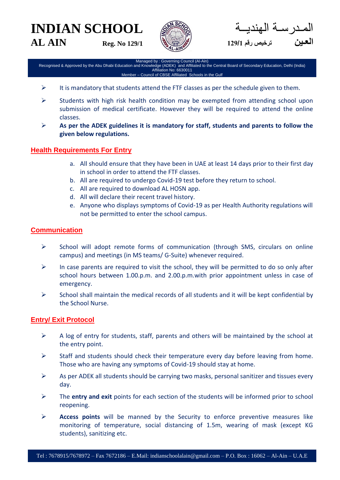**INDIAN SCHOOL** 





المـدرسـة الهنديــة **العـين ترخيص رقم 121/<sup>1</sup>**

Managed by : Governing Council (Al-Ain) Recognised & Approved by the Abu Dhabi Education and Knowledge (ADEK) and Affiliated to the Central Board of Secondary Education, Delhi (India) Affiliation No: 6630011 Member – Council of CBSE Affiliated Schools in the Gulf

- $\triangleright$  It is mandatory that students attend the FTF classes as per the schedule given to them.
- $\triangleright$  Students with high risk health condition may be exempted from attending school upon submission of medical certificate. However they will be required to attend the online classes.
- **As per the ADEK guidelines it is mandatory for staff, students and parents to follow the given below regulations.**

### **Health Requirements For Entry**

- a. All should ensure that they have been in UAE at least 14 days prior to their first day in school in order to attend the FTF classes.
- b. All are required to undergo Covid-19 test before they return to school.
- c. All are required to download AL HOSN app.
- d. All will declare their recent travel history.
- e. Anyone who displays symptoms of Covid-19 as per Health Authority regulations will not be permitted to enter the school campus.

### **Communication**

- $\triangleright$  School will adopt remote forms of communication (through SMS, circulars on online campus) and meetings (in MS teams/ G-Suite) whenever required.
- $\triangleright$  In case parents are required to visit the school, they will be permitted to do so only after school hours between 1.00.p.m. and 2.00.p.m.with prior appointment unless in case of emergency.
- $\triangleright$  School shall maintain the medical records of all students and it will be kept confidential by the School Nurse.

### **Entry/ Exit Protocol**

- $\triangleright$  A log of entry for students, staff, parents and others will be maintained by the school at the entry point.
- $\triangleright$  Staff and students should check their temperature every day before leaving from home. Those who are having any symptoms of Covid-19 should stay at home.
- $\triangleright$  As per ADEK all students should be carrying two masks, personal sanitizer and tissues every day.
- The **entry and exit** points for each section of the students will be informed prior to school reopening.
- **Access points** will be manned by the Security to enforce preventive measures like monitoring of temperature, social distancing of 1.5m, wearing of mask (except KG students), sanitizing etc.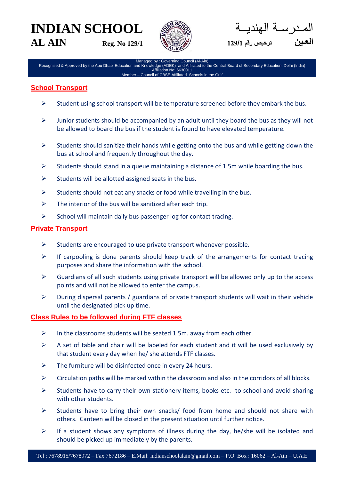# **INDIAN SCHOOL AL AIN Reg. No 129/1**



در ســة الـهنديـــة **العـين ترخيص رقم 121/<sup>1</sup>**

Managed by : Governing Council (Al-Ain) Recognised & Approved by the Abu Dhabi Education and Knowledge (ADEK) and Affiliated to the Central Board of Secondary Education, Delhi (India) Affiliation No: 6630011 Member – Council of CBSE Affiliated Schools in the Gulf

### **School Transport**

- $\triangleright$  Student using school transport will be temperature screened before they embark the bus.
- $\triangleright$  Junior students should be accompanied by an adult until they board the bus as they will not be allowed to board the bus if the student is found to have elevated temperature.
- $\triangleright$  Students should sanitize their hands while getting onto the bus and while getting down the bus at school and frequently throughout the day.
- $\triangleright$  Students should stand in a queue maintaining a distance of 1.5m while boarding the bus.
- $\triangleright$  Students will be allotted assigned seats in the bus.
- $\triangleright$  Students should not eat any snacks or food while travelling in the bus.
- $\triangleright$  The interior of the bus will be sanitized after each trip.
- $\triangleright$  School will maintain daily bus passenger log for contact tracing.

### **Private Transport**

- $\triangleright$  Students are encouraged to use private transport whenever possible.
- $\triangleright$  If carpooling is done parents should keep track of the arrangements for contact tracing purposes and share the information with the school.
- $\triangleright$  Guardians of all such students using private transport will be allowed only up to the access points and will not be allowed to enter the campus.
- $\triangleright$  During dispersal parents / guardians of private transport students will wait in their vehicle until the designated pick up time.

#### **Class Rules to be followed during FTF classes**

- $\triangleright$  In the classrooms students will be seated 1.5m. away from each other.
- $\triangleright$  A set of table and chair will be labeled for each student and it will be used exclusively by that student every day when he/ she attends FTF classes.
- $\triangleright$  The furniture will be disinfected once in every 24 hours.
- $\triangleright$  Circulation paths will be marked within the classroom and also in the corridors of all blocks.
- $\triangleright$  Students have to carry their own stationery items, books etc. to school and avoid sharing with other students.
- $\triangleright$  Students have to bring their own snacks/ food from home and should not share with others. Canteen will be closed in the present situation until further notice.
- $\triangleright$  If a student shows any symptoms of illness during the day, he/she will be isolated and should be picked up immediately by the parents.